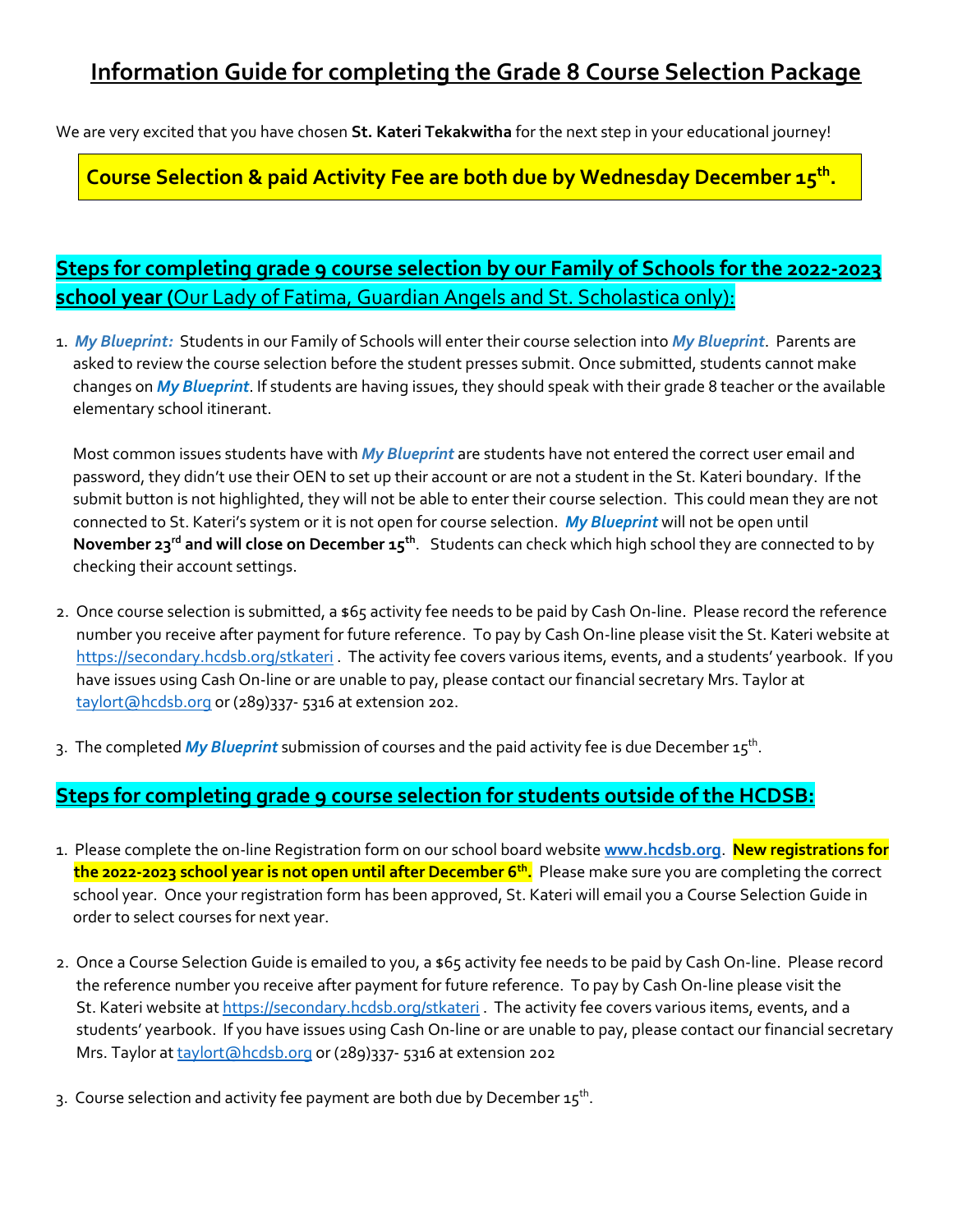We are very excited that you have chosen **St. Kateri Tekakwitha** for the next step in your educational journey!

## **Course Selection & paid Activity Fee are both due by Wednesday December 15th .**

# **Steps for completing grade 9 course selection by our Family of Schools for the 2022-2023 school year (**Our Lady of Fatima, Guardian Angels and St. Scholastica only):

1. *My Blueprint:* Students in our Family of Schools will enter their course selection into *My Blueprint*. Parents are asked to review the course selection before the student presses submit. Once submitted, students cannot make changes on *My Blueprint*. If students are having issues, they should speak with their grade 8 teacher or the available elementary school itinerant.

 Most common issues students have with *My Blueprint* are students have not entered the correct user email and password, they didn't use their OEN to set up their account or are not a student in the St. Kateri boundary. If the submit button is not highlighted, they will not be able to enter their course selection. This could mean they are not connected to St. Kateri's system or it is not open for course selection. *My Blueprint* will not be open until **November 23rd and will close on December 15th** . Students can check which high school they are connected to by checking their account settings.

- 2. Once course selection is submitted, a \$65 activity fee needs to be paid by Cash On-line. Please record the reference number you receive after payment for future reference. To pay by Cash On-line please visit the St. Kateri website at <https://secondary.hcdsb.org/stkateri> . The activity fee covers various items, events, and a students' yearbook. If you have issues using Cash On-line or are unable to pay, please contact our financial secretary Mrs. Taylor at [taylort@hcdsb.org](mailto:taylort@hcdsb.org) or (289)337-5316 at extension 202.
- 3. The completed *My Blueprint* submission of courses and the paid activity fee is due December 15<sup>th</sup>.

#### **Steps for completing grade 9 course selection for students outside of the HCDSB:**

- 1. Please complete the on-line Registration form on our school board website **[www.hcdsb.org](http://www.hcdsb.org/)**. **New registrations for the 2022-2023 school year is not open until after December 6th .** Please make sure you are completing the correct school year. Once your registration form has been approved, St. Kateri will email you a Course Selection Guide in order to select courses for next year.
- 2. Once a Course Selection Guide is emailed to you, a \$65 activity fee needs to be paid by Cash On-line. Please record the reference number you receive after payment for future reference. To pay by Cash On-line please visit the St. Kateri website at <https://secondary.hcdsb.org/stkateri> . The activity fee covers various items, events, and a students' yearbook. If you have issues using Cash On-line or are unable to pay, please contact our financial secretary Mrs. Taylor at [taylort@hcdsb.org](mailto:taylort@hcdsb.org) or (289)337-5316 at extension 202
- 3. Course selection and activity fee payment are both due by December 15 $^{\rm th}$ .